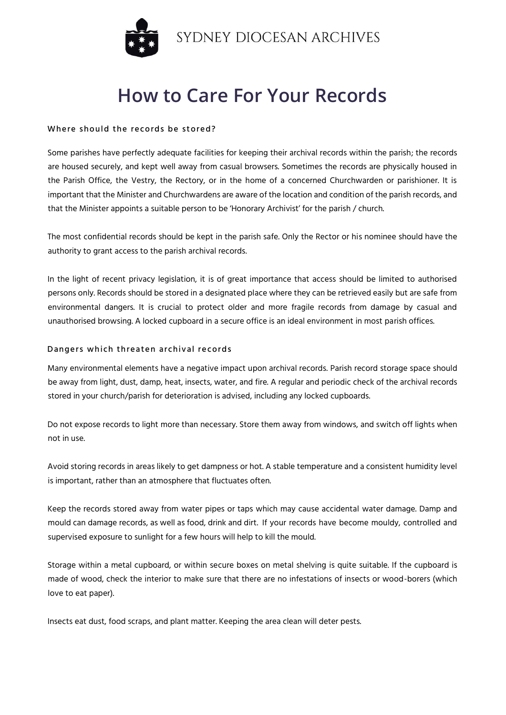

# **How to Care For Your Records**

#### Where should the records be stored?

Some parishes have perfectly adequate facilities for keeping their archival records within the parish; the records are housed securely, and kept well away from casual browsers. Sometimes the records are physically housed in the Parish Office, the Vestry, the Rectory, or in the home of a concerned Churchwarden or parishioner. It is important that the Minister and Churchwardens are aware of the location and condition of the parish records, and that the Minister appoints a suitable person to be 'Honorary Archivist' for the parish / church.

The most confidential records should be kept in the parish safe. Only the Rector or his nominee should have the authority to grant access to the parish archival records.

In the light of recent privacy legislation, it is of great importance that access should be limited to authorised persons only. Records should be stored in a designated place where they can be retrieved easily but are safe from environmental dangers. It is crucial to protect older and more fragile records from damage by casual and unauthorised browsing. A locked cupboard in a secure office is an ideal environment in most parish offices.

#### Dangers which threaten archival records

Many environmental elements have a negative impact upon archival records. Parish record storage space should be away from light, dust, damp, heat, insects, water, and fire. A regular and periodic check of the archival records stored in your church/parish for deterioration is advised, including any locked cupboards.

Do not expose records to light more than necessary. Store them away from windows, and switch off lights when not in use.

Avoid storing records in areas likely to get dampness or hot. A stable temperature and a consistent humidity level is important, rather than an atmosphere that fluctuates often.

Keep the records stored away from water pipes or taps which may cause accidental water damage. Damp and mould can damage records, as well as food, drink and dirt. If your records have become mouldy, controlled and supervised exposure to sunlight for a few hours will help to kill the mould.

Storage within a metal cupboard, or within secure boxes on metal shelving is quite suitable. If the cupboard is made of wood, check the interior to make sure that there are no infestations of insects or wood-borers (which love to eat paper).

Insects eat dust, food scraps, and plant matter. Keeping the area clean will deter pests.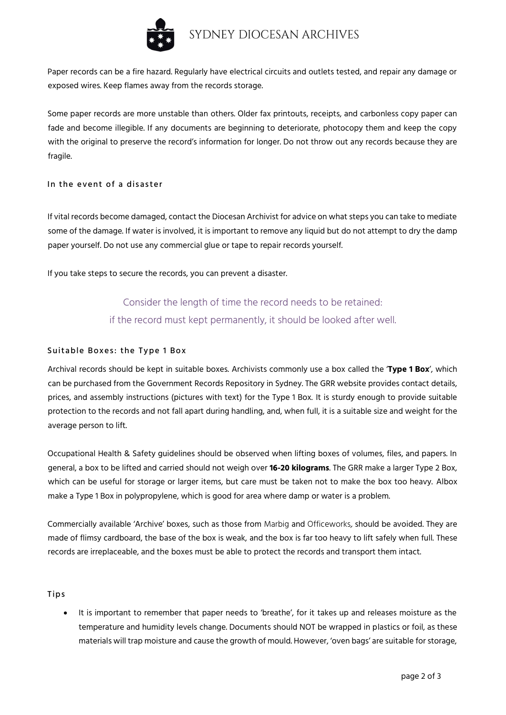

Paper records can be a fire hazard. Regularly have electrical circuits and outlets tested, and repair any damage or exposed wires. Keep flames away from the records storage.

Some paper records are more unstable than others. Older fax printouts, receipts, and carbonless copy paper can fade and become illegible. If any documents are beginning to deteriorate, photocopy them and keep the copy with the original to preserve the record's information for longer. Do not throw out any records because they are fragile.

#### In the event of a disaster

If vital records become damaged, contact the Diocesan Archivist for advice on what steps you can take to mediate some of the damage. If water is involved, it is important to remove any liquid but do not attempt to dry the damp paper yourself. Do not use any commercial glue or tape to repair records yourself.

If you take steps to secure the records, you can prevent a disaster.

## Consider the length of time the record needs to be retained: if the record must kept permanently, it should be looked after well.

### Suitable Boxes: the Type 1 Box

Archival records should be kept in suitable boxes. Archivists commonly use a box called the '**Type 1 Box**', which can be purchased from the Government Records Repository in Sydney. The GRR website provides contact details, prices, and assembly instructions (pictures with text) for the Type 1 Box. It is sturdy enough to provide suitable protection to the records and not fall apart during handling, and, when full, it is a suitable size and weight for the average person to lift.

Occupational Health & Safety guidelines should be observed when lifting boxes of volumes, files, and papers. In general, a box to be lifted and carried should not weigh over **16-20 kilograms**. The GRR make a larger Type 2 Box, which can be useful for storage or larger items, but care must be taken not to make the box too heavy. Albox make a Type 1 Box in polypropylene, which is good for area where damp or water is a problem.

Commercially available 'Archive' boxes, such as those from Marbig and Officeworks, should be avoided. They are made of flimsy cardboard, the base of the box is weak, and the box is far too heavy to lift safely when full. These records are irreplaceable, and the boxes must be able to protect the records and transport them intact.

Tips

• It is important to remember that paper needs to 'breathe', for it takes up and releases moisture as the temperature and humidity levels change. Documents should NOT be wrapped in plastics or foil, as these materials will trap moisture and cause the growth of mould. However, 'oven bags' are suitable for storage,